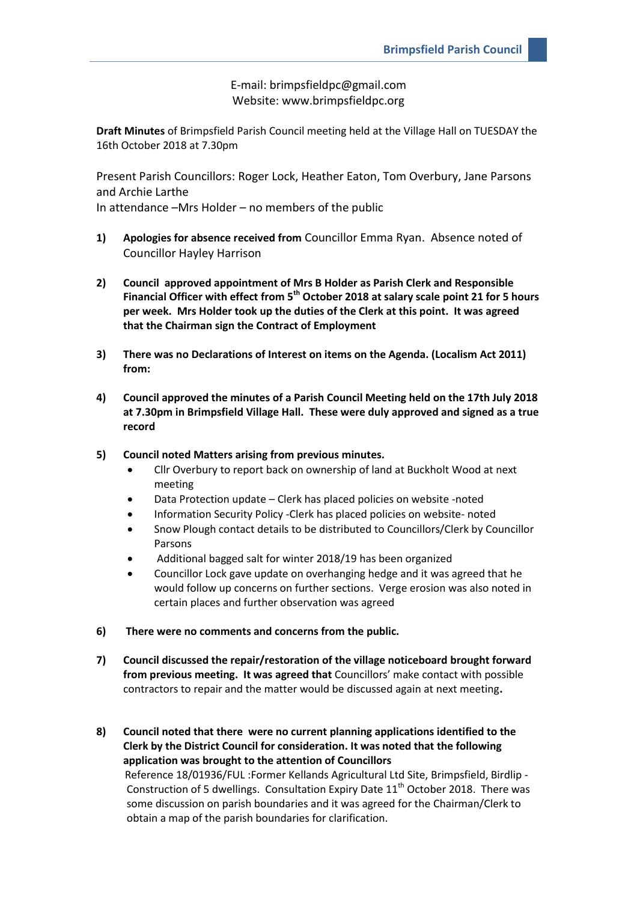E-mail: brimpsfieldpc@gmail.com Website: www.brimpsfieldpc.org

**Draft Minutes** of Brimpsfield Parish Council meeting held at the Village Hall on TUESDAY the 16th October 2018 at 7.30pm

Present Parish Councillors: Roger Lock, Heather Eaton, Tom Overbury, Jane Parsons and Archie Larthe In attendance –Mrs Holder – no members of the public

- **1) Apologies for absence received from** Councillor Emma Ryan. Absence noted of Councillor Hayley Harrison
- **2) Council approved appointment of Mrs B Holder as Parish Clerk and Responsible Financial Officer with effect from 5th October 2018 at salary scale point 21 for 5 hours per week. Mrs Holder took up the duties of the Clerk at this point. It was agreed that the Chairman sign the Contract of Employment**
- **3) There was no Declarations of Interest on items on the Agenda. (Localism Act 2011) from:**
- **4) Council approved the minutes of a Parish Council Meeting held on the 17th July 2018 at 7.30pm in Brimpsfield Village Hall. These were duly approved and signed as a true record**
- **5) Council noted Matters arising from previous minutes.**
	- Cllr Overbury to report back on ownership of land at Buckholt Wood at next meeting
	- Data Protection update Clerk has placed policies on website -noted
	- Information Security Policy -Clerk has placed policies on website- noted
	- Snow Plough contact details to be distributed to Councillors/Clerk by Councillor Parsons
	- Additional bagged salt for winter 2018/19 has been organized
	- Councillor Lock gave update on overhanging hedge and it was agreed that he would follow up concerns on further sections. Verge erosion was also noted in certain places and further observation was agreed
- **6) There were no comments and concerns from the public.**
- **7) Council discussed the repair/restoration of the village noticeboard brought forward from previous meeting. It was agreed that** Councillors' make contact with possible contractors to repair and the matter would be discussed again at next meeting**.**
- **8) Council noted that there were no current planning applications identified to the Clerk by the District Council for consideration. It was noted that the following application was brought to the attention of Councillors**

 Reference 18/01936/FUL :Former Kellands Agricultural Ltd Site, Brimpsfield, Birdlip - Construction of 5 dwellings. Consultation Expiry Date  $11<sup>th</sup>$  October 2018. There was some discussion on parish boundaries and it was agreed for the Chairman/Clerk to obtain a map of the parish boundaries for clarification.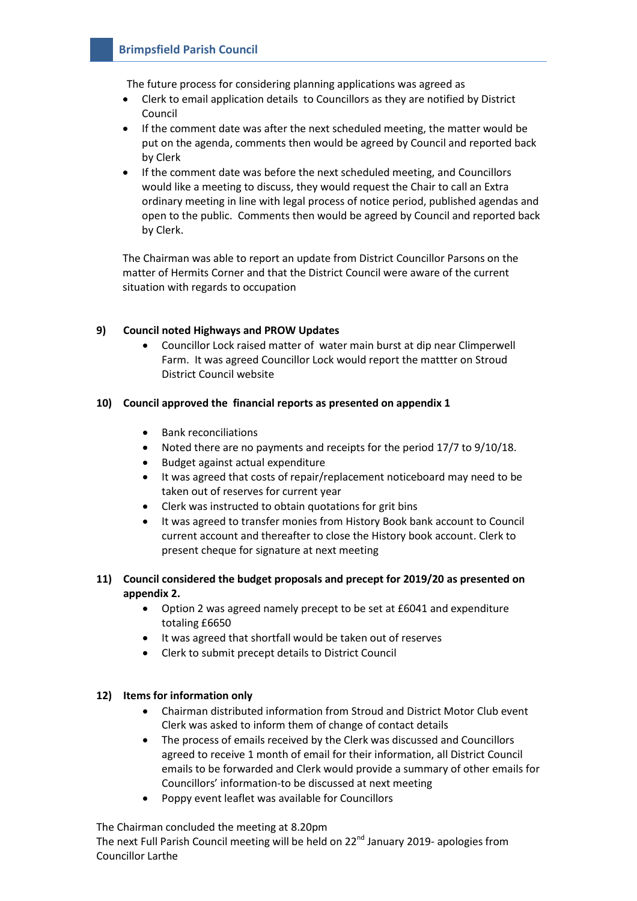The future process for considering planning applications was agreed as

- Clerk to email application details to Councillors as they are notified by District Council
- If the comment date was after the next scheduled meeting, the matter would be put on the agenda, comments then would be agreed by Council and reported back by Clerk
- If the comment date was before the next scheduled meeting, and Councillors would like a meeting to discuss, they would request the Chair to call an Extra ordinary meeting in line with legal process of notice period, published agendas and open to the public. Comments then would be agreed by Council and reported back by Clerk.

The Chairman was able to report an update from District Councillor Parsons on the matter of Hermits Corner and that the District Council were aware of the current situation with regards to occupation

### **9) Council noted Highways and PROW Updates**

 Councillor Lock raised matter of water main burst at dip near Climperwell Farm. It was agreed Councillor Lock would report the mattter on Stroud District Council website

#### **10) Council approved the financial reports as presented on appendix 1**

- Bank reconciliations
- Noted there are no payments and receipts for the period 17/7 to 9/10/18.
- Budget against actual expenditure
- It was agreed that costs of repair/replacement noticeboard may need to be taken out of reserves for current year
- Clerk was instructed to obtain quotations for grit bins
- It was agreed to transfer monies from History Book bank account to Council current account and thereafter to close the History book account. Clerk to present cheque for signature at next meeting

### **11) Council considered the budget proposals and precept for 2019/20 as presented on appendix 2.**

- Option 2 was agreed namely precept to be set at £6041 and expenditure totaling £6650
- It was agreed that shortfall would be taken out of reserves
- Clerk to submit precept details to District Council

#### **12) Items for information only**

- Chairman distributed information from Stroud and District Motor Club event Clerk was asked to inform them of change of contact details
- The process of emails received by the Clerk was discussed and Councillors agreed to receive 1 month of email for their information, all District Council emails to be forwarded and Clerk would provide a summary of other emails for Councillors' information-to be discussed at next meeting
- Poppy event leaflet was available for Councillors

The Chairman concluded the meeting at 8.20pm

The next Full Parish Council meeting will be held on  $22^{nd}$  January 2019- apologies from Councillor Larthe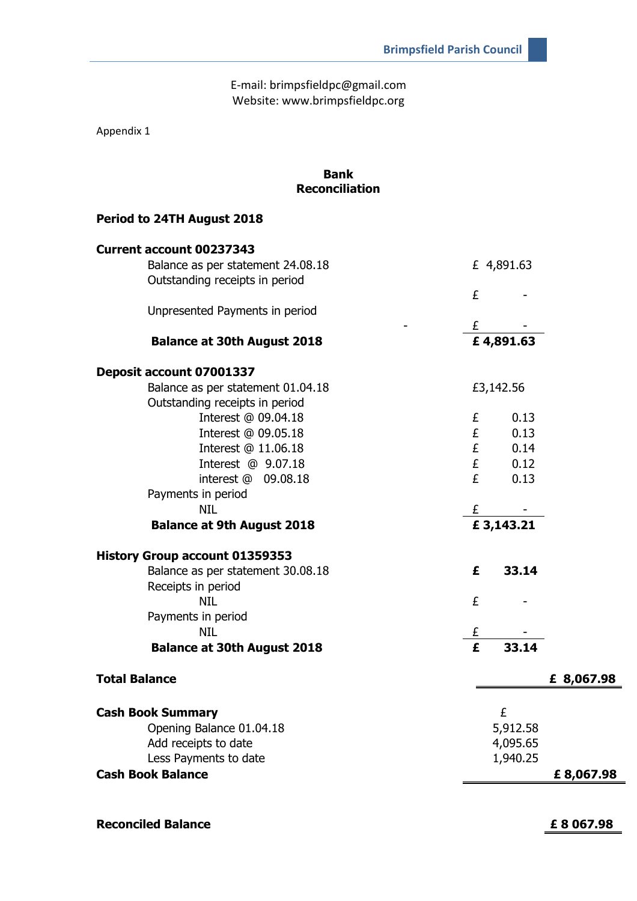E-mail: brimpsfieldpc@gmail.com Website: www.brimpsfieldpc.org

Appendix 1

| <b>Bank</b><br><b>Reconciliation</b>  |                |            |            |
|---------------------------------------|----------------|------------|------------|
| Period to 24TH August 2018            |                |            |            |
| <b>Current account 00237343</b>       |                |            |            |
| Balance as per statement 24.08.18     |                | £ 4,891.63 |            |
| Outstanding receipts in period        |                |            |            |
|                                       | £              |            |            |
| Unpresented Payments in period        |                |            |            |
| <b>Balance at 30th August 2018</b>    | £<br>£4,891.63 |            |            |
| Deposit account 07001337              |                |            |            |
| Balance as per statement 01.04.18     |                | £3,142.56  |            |
| Outstanding receipts in period        |                |            |            |
| Interest @ 09.04.18                   | £              | 0.13       |            |
| Interest @ 09.05.18                   | £              | 0.13       |            |
| Interest @ 11.06.18                   | £              | 0.14       |            |
| Interest @ 9.07.18                    | £              | 0.12       |            |
| interest @ 09.08.18                   | £              | 0.13       |            |
| Payments in period                    |                |            |            |
| <b>NIL</b>                            | £              |            |            |
| <b>Balance at 9th August 2018</b>     |                | £3,143.21  |            |
| <b>History Group account 01359353</b> |                |            |            |
| Balance as per statement 30.08.18     | £              | 33.14      |            |
| Receipts in period                    |                |            |            |
| <b>NIL</b>                            | £              |            |            |
| Payments in period                    |                |            |            |
| <b>NIL</b>                            | £              |            |            |
| <b>Balance at 30th August 2018</b>    | £              | 33.14      |            |
| <b>Total Balance</b>                  |                |            | £ 8,067.98 |
| <b>Cash Book Summary</b>              |                | £          |            |
| Opening Balance 01.04.18              |                | 5,912.58   |            |
| Add receipts to date                  |                | 4,095.65   |            |
| Less Payments to date                 |                | 1,940.25   |            |
| <b>Cash Book Balance</b>              |                |            | £8,067.98  |
|                                       |                |            |            |

**Reconciled Balance £ 8 067.98**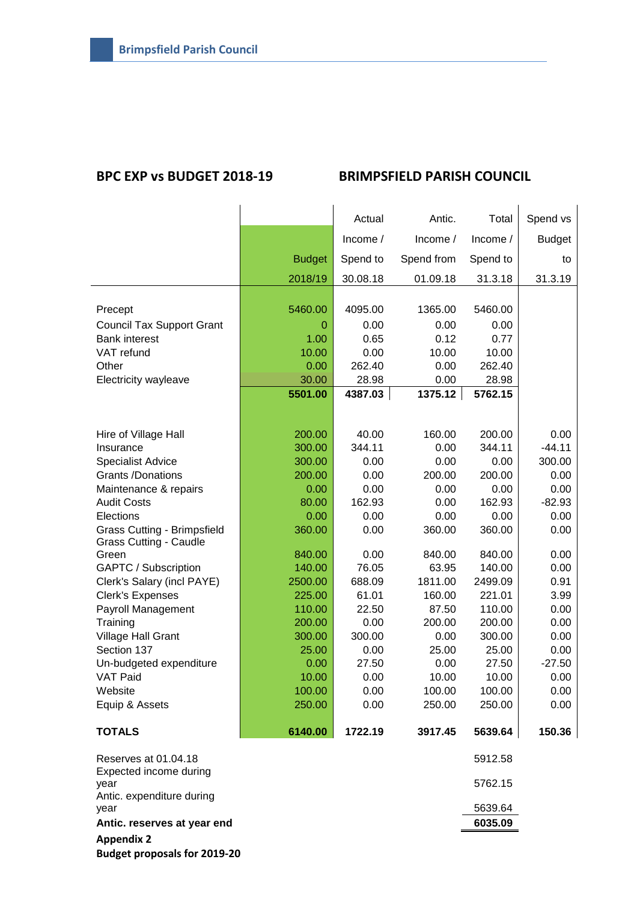# **BPC EXP vs BUDGET 2018-19 BRIMPSFIELD PARISH COUNCIL**

|                                                |               | Actual   | Antic.     | Total    | Spend vs      |
|------------------------------------------------|---------------|----------|------------|----------|---------------|
|                                                |               | Income / | Income /   | Income / | <b>Budget</b> |
|                                                | <b>Budget</b> | Spend to | Spend from | Spend to | to            |
|                                                | 2018/19       | 30.08.18 | 01.09.18   | 31.3.18  | 31.3.19       |
|                                                |               |          |            |          |               |
| Precept                                        | 5460.00       | 4095.00  | 1365.00    | 5460.00  |               |
| <b>Council Tax Support Grant</b>               | 0             | 0.00     | 0.00       | 0.00     |               |
| <b>Bank interest</b>                           | 1.00          | 0.65     | 0.12       | 0.77     |               |
| VAT refund                                     | 10.00         | 0.00     | 10.00      | 10.00    |               |
| Other                                          | 0.00          | 262.40   | 0.00       | 262.40   |               |
| Electricity wayleave                           | 30.00         | 28.98    | 0.00       | 28.98    |               |
|                                                | 5501.00       | 4387.03  | 1375.12    | 5762.15  |               |
|                                                |               |          |            |          |               |
|                                                |               |          |            |          |               |
| Hire of Village Hall                           | 200.00        | 40.00    | 160.00     | 200.00   | 0.00          |
| Insurance                                      | 300.00        | 344.11   | 0.00       | 344.11   | $-44.11$      |
| <b>Specialist Advice</b>                       | 300.00        | 0.00     | 0.00       | 0.00     | 300.00        |
| <b>Grants /Donations</b>                       | 200.00        | 0.00     | 200.00     | 200.00   | 0.00          |
| Maintenance & repairs                          | 0.00          | 0.00     | 0.00       | 0.00     | 0.00          |
| <b>Audit Costs</b>                             | 80.00         | 162.93   | 0.00       | 162.93   | $-82.93$      |
| Elections                                      | 0.00          | 0.00     | 0.00       | 0.00     | 0.00          |
| <b>Grass Cutting - Brimpsfield</b>             | 360.00        | 0.00     | 360.00     | 360.00   | 0.00          |
| <b>Grass Cutting - Caudle</b>                  |               |          |            |          |               |
| Green                                          | 840.00        | 0.00     | 840.00     | 840.00   | 0.00          |
| GAPTC / Subscription                           | 140.00        | 76.05    | 63.95      | 140.00   | 0.00          |
| Clerk's Salary (incl PAYE)                     | 2500.00       | 688.09   | 1811.00    | 2499.09  | 0.91          |
| <b>Clerk's Expenses</b>                        | 225.00        | 61.01    | 160.00     | 221.01   | 3.99          |
| Payroll Management                             | 110.00        | 22.50    | 87.50      | 110.00   | 0.00          |
| Training                                       | 200.00        | 0.00     | 200.00     | 200.00   | 0.00          |
| Village Hall Grant                             | 300.00        | 300.00   | 0.00       | 300.00   | 0.00          |
| Section 137                                    | 25.00         | 0.00     | 25.00      | 25.00    | 0.00          |
| Un-budgeted expenditure                        | 0.00          | 27.50    | 0.00       | 27.50    | $-27.50$      |
| <b>VAT Paid</b>                                | 10.00         | 0.00     | 10.00      | 10.00    | 0.00          |
| Website                                        | 100.00        | 0.00     | 100.00     | 100.00   | 0.00          |
| Equip & Assets                                 | 250.00        | 0.00     | 250.00     | 250.00   | 0.00          |
| <b>TOTALS</b>                                  | 6140.00       | 1722.19  | 3917.45    | 5639.64  | 150.36        |
| Reserves at 01.04.18<br>Expected income during |               |          |            | 5912.58  |               |
| year<br>Antic. expenditure during              |               |          |            | 5762.15  |               |
| year                                           |               |          |            | 5639.64  |               |
| Antic. reserves at year end                    |               |          |            | 6035.09  |               |
| <b>Appendix 2</b>                              |               |          |            |          |               |

**Budget proposals for 2019-20**